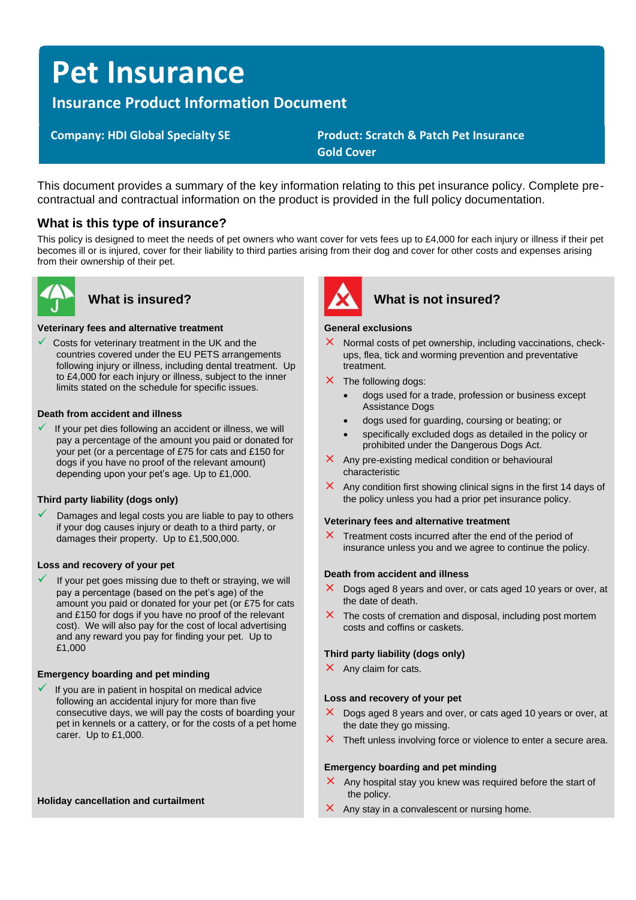# **Pet Insurance**

**Insurance Product Information Document**

 **Company: HDI Global Specialty SE Product: Scratch & Patch Pet Insurance Gold Cover**

This document provides a summary of the key information relating to this pet insurance policy. Complete precontractual and contractual information on the product is provided in the full policy documentation.

# **What is this type of insurance?**

This policy is designed to meet the needs of pet owners who want cover for vets fees up to £4,000 for each injury or illness if their pet becomes ill or is injured, cover for their liability to third parties arising from their dog and cover for other costs and expenses arising from their ownership of their pet.



#### **Veterinary fees and alternative treatment**

Costs for veterinary treatment in the UK and the countries covered under the EU PETS arrangements following injury or illness, including dental treatment. Up to £4,000 for each injury or illness, subject to the inner limits stated on the schedule for specific issues.

### **Death from accident and illness**

If your pet dies following an accident or illness, we will pay a percentage of the amount you paid or donated for your pet (or a percentage of £75 for cats and £150 for dogs if you have no proof of the relevant amount) depending upon your pet's age. Up to £1,000.

#### **Third party liability (dogs only)**

Damages and legal costs you are liable to pay to others if your dog causes injury or death to a third party, or damages their property. Up to £1,500,000.

#### **Loss and recovery of your pet**

If your pet goes missing due to theft or straying, we will pay a percentage (based on the pet's age) of the amount you paid or donated for your pet (or £75 for cats and £150 for dogs if you have no proof of the relevant cost). We will also pay for the cost of local advertising and any reward you pay for finding your pet. Up to £1,000

#### **Emergency boarding and pet minding**

If you are in patient in hospital on medical advice following an accidental injury for more than five consecutive days, we will pay the costs of boarding your pet in kennels or a cattery, or for the costs of a pet home carer. Up to £1,000.

#### **Holiday cancellation and curtailment**



# **What is insured? What is not insured?**

#### **General exclusions**

- $\times$  Normal costs of pet ownership, including vaccinations, checkups, flea, tick and worming prevention and preventative treatment.
- $\times$  The following dogs:
	- dogs used for a trade, profession or business except Assistance Dogs
	- dogs used for guarding, coursing or beating; or
	- specifically excluded dogs as detailed in the policy or prohibited under the Dangerous Dogs Act.
- $\times$  Any pre-existing medical condition or behavioural characteristic
- $\times$  Any condition first showing clinical signs in the first 14 days of the policy unless you had a prior pet insurance policy.

#### **Veterinary fees and alternative treatment**

 $\times$  Treatment costs incurred after the end of the period of insurance unless you and we agree to continue the policy.

#### **Death from accident and illness**

- $\times$  Dogs aged 8 years and over, or cats aged 10 years or over, at the date of death.
- $\times$  The costs of cremation and disposal, including post mortem costs and coffins or caskets.

#### **Third party liability (dogs only)**

 $\times$  Any claim for cats.

#### **Loss and recovery of your pet**

- $\times$  Dogs aged 8 years and over, or cats aged 10 years or over, at the date they go missing.
- $\times$  Theft unless involving force or violence to enter a secure area.

#### **Emergency boarding and pet minding**

- $\times$  Any hospital stay you knew was required before the start of the policy.
- $\times$  Any stay in a convalescent or nursing home.